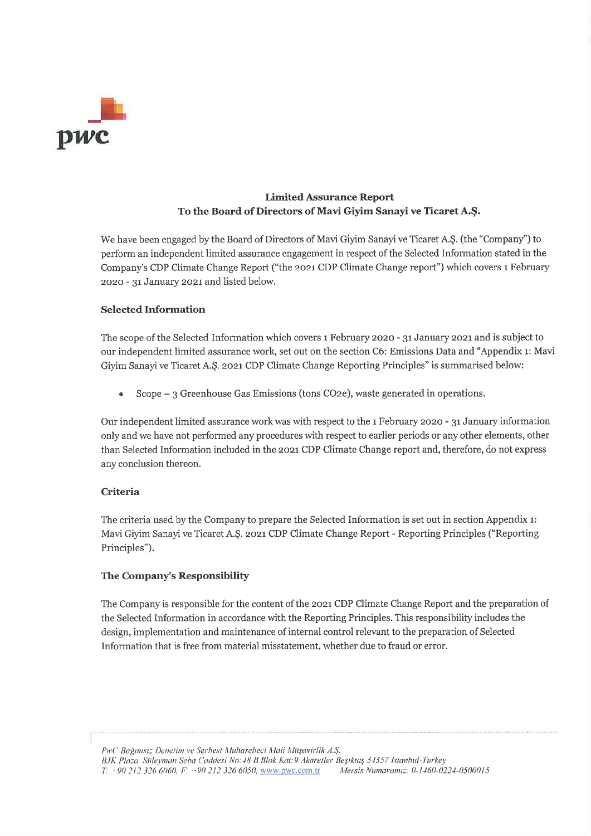

## **Limited Assurance Report** To the Board of Directors of Mavi Giyim Sanayi ve Ticaret A.Ş.

We have been engaged by the Board of Directors of Mavi Givim Sanayi ve Ticaret A.S. (the "Company") to perform an independent limited assurance engagement in respect of the Selected Information stated in the Company's CDP Climate Change Report ("the 2021 CDP Climate Change report") which covers 1 February 2020 - 31 January 2021 and listed below.

### **Selected Information**

The scope of the Selected Information which covers 1 February 2020 - 31 January 2021 and is subject to our independent limited assurance work, set out on the section C6: Emissions Data and "Appendix 1: Mavi Givim Sanavi ve Ticaret A.S. 2021 CDP Climate Change Reporting Principles" is summarised below:

Scope – 3 Greenhouse Gas Emissions (tons CO2e), waste generated in operations.

Our independent limited assurance work was with respect to the 1 February 2020 - 31 January information only and we have not performed any procedures with respect to earlier periods or any other elements, other than Selected Information included in the 2021 CDP Climate Change report and, therefore, do not express any conclusion thereon.

### Criteria

The criteria used by the Company to prepare the Selected Information is set out in section Appendix 1: Mavi Giyim Sanayi ve Ticaret A.Ş. 2021 CDP Climate Change Report - Reporting Principles ("Reporting Principles").

### The Company's Responsibility

The Company is responsible for the content of the 2021 CDP Climate Change Report and the preparation of the Selected Information in accordance with the Reporting Principles. This responsibility includes the design, implementation and maintenance of internal control relevant to the preparation of Selected Information that is free from material misstatement, whether due to fraud or error.

PwC Bağımsız Denetim ve Serbest Muhasebeci Mali Müşavirlik A.S. BJK Plaza, Süleyman Seba Caddesi No: 48 B Blok Kat: 9 Akaretler Beşiktaş 34357 İstanbul-Turkey  $T_1$  + 90 212 326 6060,  $F_1$  + 90 212 326 6050, www.pwc.com.tr Mersis Numaramız: 0-1460-0224-0500015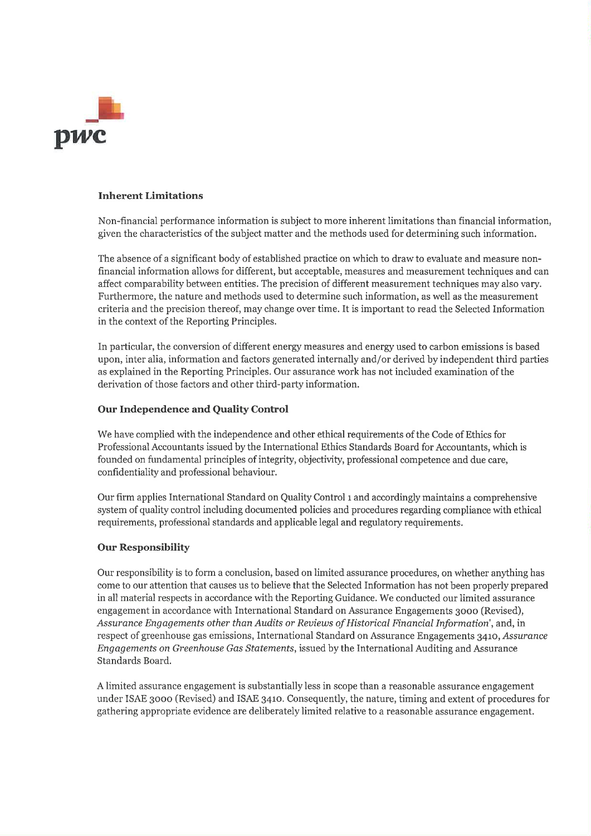

#### **Inherent Limitations**

Non-financial performance information is subject to more inherent limitations than financial information, given the characteristics of the subject matter and the methods used for determining such information.

The absence of a significant body of established practice on which to draw to evaluate and measure nonfinancial information allows for different, but acceptable, measures and measurement techniques and can affect comparability between entities. The precision of different measurement techniques may also vary. Furthermore, the nature and methods used to determine such information, as well as the measurement criteria and the precision thereof, may change over time. It is important to read the Selected Information in the context of the Reporting Principles.

In particular, the conversion of different energy measures and energy used to carbon emissions is based upon, inter alia, information and factors generated internally and/or derived by independent third parties as explained in the Reporting Principles. Our assurance work has not included examination of the derivation of those factors and other third-party information.

#### Our Independence and Quality Control

We have complied with the independence and other ethical requirements of the Code of Ethics for Professional Accountants issued by the International Ethics Standards Board for Accountants, which is founded on fundamental principles of integrity, objectivity, professional competence and due care, confidentiality and professional behaviour.

Our firm applies International Standard on Quality Control 1 and accordingly maintains a comprehensive system of quality control including documented policies and procedures regarding compliance with ethical requirements, professional standards and applicable legal and regulatory requirements.

#### **Our Responsibility**

Our responsibility is to form a conclusion, based on limited assurance procedures, on whether anything has come to our attention that causes us to believe that the Selected Information has not been properly prepared in all material respects in accordance with the Reporting Guidance. We conducted our limited assurance engagement in accordance with International Standard on Assurance Engagements 3000 (Revised), Assurance Engagements other than Audits or Reviews of Historical Financial Information', and, in respect of greenhouse gas emissions, International Standard on Assurance Engagements 3410, Assurance Engagements on Greenhouse Gas Statements, issued by the International Auditing and Assurance Standards Board.

A limited assurance engagement is substantially less in scope than a reasonable assurance engagement under ISAE 3000 (Revised) and ISAE 3410. Consequently, the nature, timing and extent of procedures for gathering appropriate evidence are deliberately limited relative to a reasonable assurance engagement.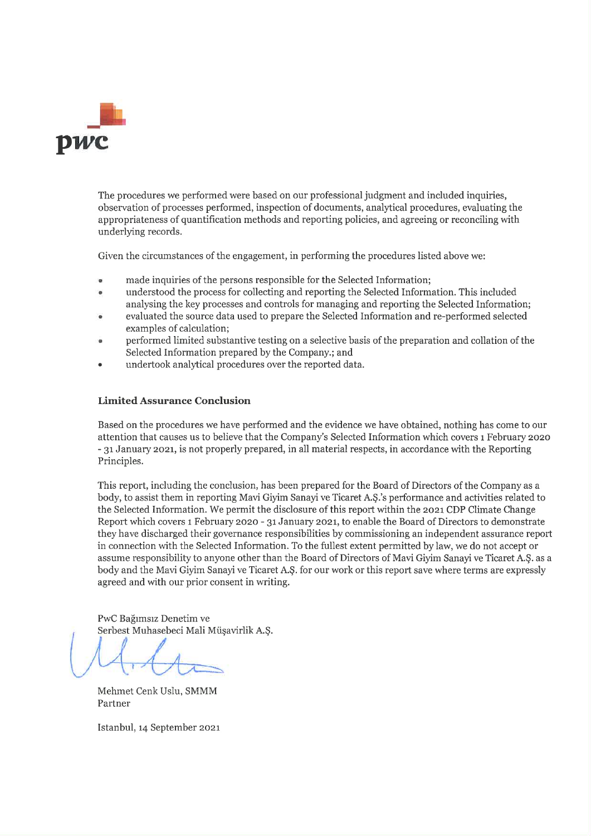

The procedures we performed were based on our professional judgment and included inquiries. observation of processes performed, inspection of documents, analytical procedures, evaluating the appropriateness of quantification methods and reporting policies, and agreeing or reconciling with underlying records.

Given the circumstances of the engagement, in performing the procedures listed above we:

- made inquiries of the persons responsible for the Selected Information:
- understood the process for collecting and reporting the Selected Information. This included analysing the key processes and controls for managing and reporting the Selected Information:
- evaluated the source data used to prepare the Selected Information and re-performed selected examples of calculation:
- performed limited substantive testing on a selective basis of the preparation and collation of the Selected Information prepared by the Company.; and
- undertook analytical procedures over the reported data.

#### **Limited Assurance Conclusion**

Based on the procedures we have performed and the evidence we have obtained, nothing has come to our attention that causes us to believe that the Company's Selected Information which covers 1 February 2020 - 31 January 2021, is not properly prepared, in all material respects, in accordance with the Reporting Principles.

This report, including the conclusion, has been prepared for the Board of Directors of the Company as a body, to assist them in reporting Mavi Giyim Sanayi ve Ticaret A.Ş.'s performance and activities related to the Selected Information. We permit the disclosure of this report within the 2021 CDP Climate Change Report which covers 1 February 2020 - 31 January 2021, to enable the Board of Directors to demonstrate they have discharged their governance responsibilities by commissioning an independent assurance report in connection with the Selected Information. To the fullest extent permitted by law, we do not accept or assume responsibility to anyone other than the Board of Directors of Mavi Givim Sanayi ve Ticaret A.S. as a body and the Mavi Giyim Sanayi ve Ticaret A.Ş. for our work or this report save where terms are expressly agreed and with our prior consent in writing.

PwC Bağımsız Denetim ve Serbest Muhasebeci Mali Müşavirlik A.S.

Mehmet Cenk Uslu, SMMM Partner

Istanbul, 14 September 2021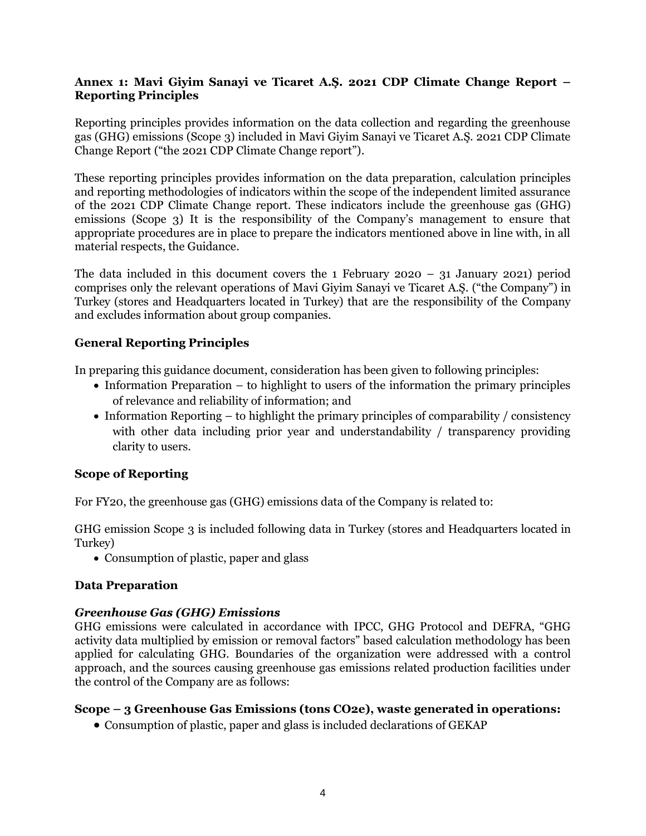## **Annex 1: Mavi Giyim Sanayi ve Ticaret A.Ş. 2021 CDP Climate Change Report – Reporting Principles**

Reporting principles provides information on the data collection and regarding the greenhouse gas (GHG) emissions (Scope 3) included in Mavi Giyim Sanayi ve Ticaret A.Ş. 2021 CDP Climate Change Report ("the 2021 CDP Climate Change report").

These reporting principles provides information on the data preparation, calculation principles and reporting methodologies of indicators within the scope of the independent limited assurance of the 2021 CDP Climate Change report. These indicators include the greenhouse gas (GHG) emissions (Scope 3) It is the responsibility of the Company's management to ensure that appropriate procedures are in place to prepare the indicators mentioned above in line with, in all material respects, the Guidance.

The data included in this document covers the 1 February 2020 – 31 January 2021) period comprises only the relevant operations of Mavi Giyim Sanayi ve Ticaret A.Ş. ("the Company") in Turkey (stores and Headquarters located in Turkey) that are the responsibility of the Company and excludes information about group companies.

# **General Reporting Principles**

In preparing this guidance document, consideration has been given to following principles:

- Information Preparation to highlight to users of the information the primary principles of relevance and reliability of information; and
- Information Reporting to highlight the primary principles of comparability / consistency with other data including prior year and understandability / transparency providing clarity to users.

## **Scope of Reporting**

For FY20, the greenhouse gas (GHG) emissions data of the Company is related to:

GHG emission Scope 3 is included following data in Turkey (stores and Headquarters located in Turkey)

• Consumption of plastic, paper and glass

## **Data Preparation**

## *Greenhouse Gas (GHG) Emissions*

GHG emissions were calculated in accordance with IPCC, GHG Protocol and DEFRA, "GHG activity data multiplied by emission or removal factors" based calculation methodology has been applied for calculating GHG. Boundaries of the organization were addressed with a control approach, and the sources causing greenhouse gas emissions related production facilities under the control of the Company are as follows:

## **Scope – 3 Greenhouse Gas Emissions (tons CO2e), waste generated in operations:**

• Consumption of plastic, paper and glass is included declarations of GEKAP